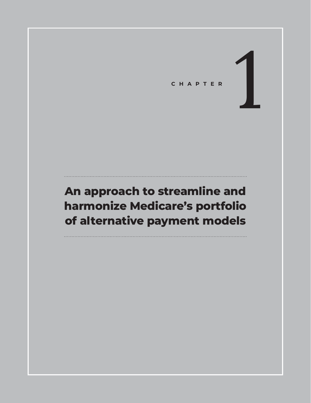CHAPTER

# **An approach to streamline and harmonize Medicare's portfolio of alternative payment models**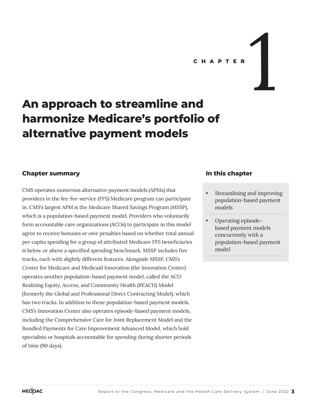# **An approach to streamline and harmonize Medicare's portfolio of**

## **Chapter summary**

CMS operates numerous alternative payment models (APMs) that providers in the fee-for-service (FFS) Medicare program can participate in. CMS's largest APM is the Medicare Shared Savings Program (MSSP), which is a population-based payment model. Providers who voluntarily form accountable care organizations (ACOs) to participate in this model agree to receive bonuses or owe penalties based on whether total annual per capita spending for a group of attributed Medicare FFS beneficiaries is below or above a specified spending benchmark. MSSP includes five tracks, each with slightly different features. Alongside MSSP, CMS's Center for Medicare and Medicaid Innovation (the Innovation Center) operates another population-based payment model, called the ACO Realizing Equity, Access, and Community Health (REACH) Model (formerly the Global and Professional Direct Contracting Model), which has two tracks. In addition to these population-based payment models, CMS's Innovation Center also operates episode-based payment models, including the Comprehensive Care for Joint Replacement Model and the Bundled Payments for Care Improvement Advanced Model, which hold specialists or hospitals accountable for spending during shorter periods of time (90 days).

**alternative payment models**

## **In this chapter**

- Streamlining and improving population-based payment models
- Operating episodebased payment models concurrently with a population-based payment model

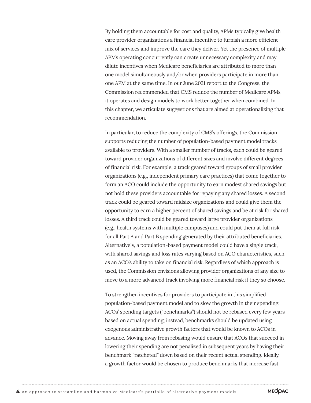By holding them accountable for cost and quality, APMs typically give health care provider organizations a financial incentive to furnish a more efficient mix of services and improve the care they deliver. Yet the presence of multiple APMs operating concurrently can create unnecessary complexity and may dilute incentives when Medicare beneficiaries are attributed to more than one model simultaneously and/or when providers participate in more than one APM at the same time. In our June 2021 report to the Congress, the Commission recommended that CMS reduce the number of Medicare APMs it operates and design models to work better together when combined. In this chapter, we articulate suggestions that are aimed at operationalizing that recommendation.

In particular, to reduce the complexity of CMS's offerings, the Commission supports reducing the number of population-based payment model tracks available to providers. With a smaller number of tracks, each could be geared toward provider organizations of different sizes and involve different degrees of financial risk. For example, a track geared toward groups of small provider organizations (e.g., independent primary care practices) that come together to form an ACO could include the opportunity to earn modest shared savings but not hold these providers accountable for repaying any shared losses. A second track could be geared toward midsize organizations and could give them the opportunity to earn a higher percent of shared savings and be at risk for shared losses. A third track could be geared toward large provider organizations (e.g., health systems with multiple campuses) and could put them at full risk for all Part A and Part B spending generated by their attributed beneficiaries. Alternatively, a population-based payment model could have a single track, with shared savings and loss rates varying based on ACO characteristics, such as an ACO's ability to take on financial risk. Regardless of which approach is used, the Commission envisions allowing provider organizations of any size to move to a more advanced track involving more financial risk if they so choose.

To strengthen incentives for providers to participate in this simplified population-based payment model and to slow the growth in their spending, ACOs' spending targets ("benchmarks") should not be rebased every few years based on actual spending; instead, benchmarks should be updated using exogenous administrative growth factors that would be known to ACOs in advance. Moving away from rebasing would ensure that ACOs that succeed in lowering their spending are not penalized in subsequent years by having their benchmark "ratcheted" down based on their recent actual spending. Ideally, a growth factor would be chosen to produce benchmarks that increase fast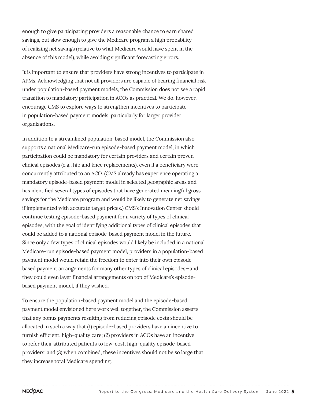enough to give participating providers a reasonable chance to earn shared savings, but slow enough to give the Medicare program a high probability of realizing net savings (relative to what Medicare would have spent in the absence of this model), while avoiding significant forecasting errors.

It is important to ensure that providers have strong incentives to participate in APMs. Acknowledging that not all providers are capable of bearing financial risk under population-based payment models, the Commission does not see a rapid transition to mandatory participation in ACOs as practical. We do, however, encourage CMS to explore ways to strengthen incentives to participate in population-based payment models, particularly for larger provider organizations.

In addition to a streamlined population-based model, the Commission also supports a national Medicare-run episode-based payment model, in which participation could be mandatory for certain providers and certain proven clinical episodes (e.g., hip and knee replacements), even if a beneficiary were concurrently attributed to an ACO. (CMS already has experience operating a mandatory episode-based payment model in selected geographic areas and has identified several types of episodes that have generated meaningful gross savings for the Medicare program and would be likely to generate net savings if implemented with accurate target prices.) CMS's Innovation Center should continue testing episode-based payment for a variety of types of clinical episodes, with the goal of identifying additional types of clinical episodes that could be added to a national episode-based payment model in the future. Since only a few types of clinical episodes would likely be included in a national Medicare-run episode-based payment model, providers in a population-based payment model would retain the freedom to enter into their own episodebased payment arrangements for many other types of clinical episodes—and they could even layer financial arrangements on top of Medicare's episodebased payment model, if they wished.

To ensure the population-based payment model and the episode-based payment model envisioned here work well together, the Commission asserts that any bonus payments resulting from reducing episode costs should be allocated in such a way that (1) episode-based providers have an incentive to furnish efficient, high-quality care; (2) providers in ACOs have an incentive to refer their attributed patients to low-cost, high-quality episode-based providers; and (3) when combined, these incentives should not be so large that they increase total Medicare spending.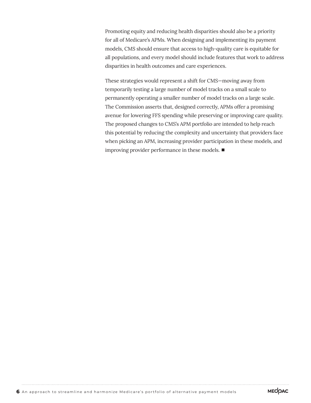Promoting equity and reducing health disparities should also be a priority for all of Medicare's APMs. When designing and implementing its payment models, CMS should ensure that access to high-quality care is equitable for all populations, and every model should include features that work to address disparities in health outcomes and care experiences.

These strategies would represent a shift for CMS—moving away from temporarily testing a large number of model tracks on a small scale to permanently operating a smaller number of model tracks on a large scale. The Commission asserts that, designed correctly, APMs offer a promising avenue for lowering FFS spending while preserving or improving care quality. The proposed changes to CMS's APM portfolio are intended to help reach this potential by reducing the complexity and uncertainty that providers face when picking an APM, increasing provider participation in these models, and improving provider performance in these models. ■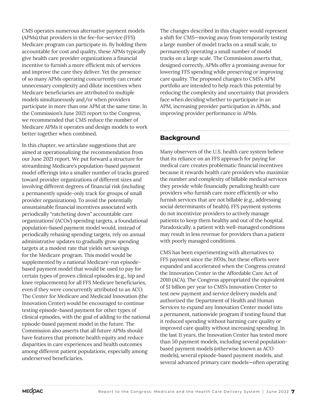CMS operates numerous alternative payment models (APMs) that providers in the fee-for-service (FFS) Medicare program can participate in. By holding them accountable for cost and quality, these APMs typically give health care provider organizations a financial incentive to furnish a more efficient mix of services and improve the care they deliver. Yet the presence of so many APMs operating concurrently can create unnecessary complexity and dilute incentives when Medicare beneficiaries are attributed to multiple models simultaneously and/or when providers participate in more than one APM at the same time. In the Commission's June 2021 report to the Congress, we recommended that CMS reduce the number of Medicare APMs it operates and design models to work better together when combined.

In this chapter, we articulate suggestions that are aimed at operationalizing the recommendation from our June 2021 report. We put forward a structure for streamlining Medicare's population-based payment model offerings into a smaller number of tracks geared toward provider organizations of different sizes and involving different degrees of financial risk (including a permanently upside-only track for groups of small provider organizations). To avoid the potentially unsustainable financial incentives associated with periodically "ratcheting down" accountable care organizations' (ACOs') spending targets, a foundational population-based payment model would, instead of periodically rebasing spending targets, rely on annual administrative updates to gradually grow spending targets at a modest rate that yields net savings for the Medicare program. This model would be supplemented by a national Medicare-run episodebased payment model that would be used to pay for certain types of proven clinical episodes (e.g., hip and knee replacements) for all FFS Medicare beneficiaries, even if they were concurrently attributed to an ACO. The Center for Medicare and Medicaid Innovation (the Innovation Center) would be encouraged to continue testing episode-based payment for other types of clinical episodes, with the goal of adding to the national episode-based payment model in the future. The Commission also asserts that all future APMs should have features that promote health equity and reduce disparities in care experiences and health outcomes among different patient populations, especially among underserved beneficiaries.

The changes described in this chapter would represent a shift for CMS—moving away from temporarily testing a large number of model tracks on a small scale, to permanently operating a small number of model tracks on a large scale. The Commission asserts that, designed correctly, APMs offer a promising avenue for lowering FFS spending while preserving or improving care quality. The proposed changes to CMS's APM portfolio are intended to help reach this potential by reducing the complexity and uncertainty that providers face when deciding whether to participate in an APM, increasing provider participation in APMs, and improving provider performance in APMs.

## **Background**

Many observers of the U.S. health care system believe that its reliance on an FFS approach for paying for medical care creates problematic financial incentives because it rewards health care providers who maximize the number and complexity of billable medical services they provide while financially penalizing health care providers who furnish care more efficiently or who furnish services that are not billable (e.g., addressing social determinants of health). FFS payment systems do not incentivize providers to actively manage patients to keep them healthy and out of the hospital. Paradoxically, a patient with well-managed conditions may result in less revenue for providers than a patient with poorly managed conditions.

CMS has been experimenting with alternatives to FFS payment since the 1970s, but these efforts were expanded and accelerated when the Congress created the Innovation Center in the Affordable Care Act of 2010 (ACA). The Congress appropriated the equivalent of \$1 billion per year to CMS's Innovation Center to test new payment and service delivery models and authorized the Department of Health and Human Services to expand any Innovation Center model into a permanent, nationwide program if testing found that it reduced spending without harming care quality or improved care quality without increasing spending. In the last 11 years, the Innovation Center has tested more than 50 payment models, including several populationbased payment models (otherwise known as ACO models), several episode-based payment models, and several advanced primary care models—often operating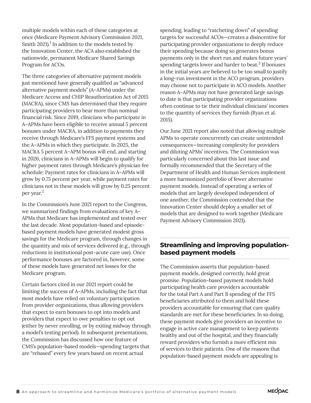multiple models within each of these categories at once (Medicare Payment Advisory Commission 2021, Smith 2021). $^1$  In addition to the models tested by the Innovation Center, the ACA also established the nationwide, permanent Medicare Shared Savings Program for ACOs.

The three categories of alternative payment models just mentioned have generally qualified as "advanced alternative payment models" (A–APMs) under the Medicare Access and CHIP Reauthorization Act of 2015 (MACRA), since CMS has determined that they require participating providers to bear more than nominal financial risk. Since 2019, clinicians who participate in A–APMs have been eligible to receive annual 5 percent bonuses under MACRA, in addition to payments they receive through Medicare's FFS payment systems and the A–APMs in which they participate. In 2025, the MACRA 5 percent A–APM bonus will end, and starting in 2026, clinicians in A–APMs will begin to qualify for higher payment rates through Medicare's physician fee schedule: Payment rates for clinicians in A–APMs will grow by 0.75 percent per year, while payment rates for clinicians not in these models will grow by 0.25 percent per year.2

In the Commission's June 2021 report to the Congress, we summarized findings from evaluations of key A– APMs that Medicare has implemented and tested over the last decade. Most population-based and episodebased payment models have generated modest gross savings for the Medicare program, through changes in the quantity and mix of services delivered (e.g., through reductions in institutional post-acute care use). Once performance bonuses are factored in, however, some of these models have generated net losses for the Medicare program.

Certain factors cited in our 2021 report could be limiting the success of A–APMs, including the fact that most models have relied on voluntary participation from provider organizations, thus allowing providers that expect to earn bonuses to opt into models and providers that expect to owe penalties to opt out (either by never enrolling, or by exiting midway through a model's testing period). In subsequent presentations, the Commission has discussed how one feature of CMS's population-based models—spending targets that are "rebased" every few years based on recent actual

spending, leading to "ratcheting down" of spending targets for successful ACOs—creates a disincentive for participating provider organizations to deeply reduce their spending because doing so generates bonus payments only in the short run and makes future years' spending targets lower and harder to beat. $3$  If bonuses in the initial years are believed to be too small to justify a long-run investment in the ACO program, providers may choose not to participate in ACO models. Another reason A–APMs may not have generated large savings to date is that participating provider organizations often continue to tie their individual clinicians' incomes to the quantity of services they furnish (Ryan et al. 2015).

Our June 2021 report also noted that allowing multiple APMs to operate concurrently can create unintended consequences—increasing complexity for providers and diluting APMs' incentives. The Commission was particularly concerned about this last issue and formally recommended that the Secretary of the Department of Health and Human Services implement a more harmonized portfolio of fewer alternative payment models. Instead of operating a series of models that are largely developed independent of one another, the Commission contended that the Innovation Center should deploy a smaller set of models that are designed to work together (Medicare Payment Advisory Commission 2021).

# **Streamlining and improving populationbased payment models**

The Commission asserts that population-based payment models, designed correctly, hold great promise. Population-based payment models hold participating health care providers accountable for the total Part A and Part B spending of the FFS beneficiaries attributed to them and hold these providers accountable for ensuring that care quality standards are met for these beneficiaries. In so doing, these payment models give providers an incentive to engage in active care management to keep patients healthy and out of the hospital, and they financially reward providers who furnish a more efficient mix of services to their patients. One of the reasons that population-based payment models are appealing is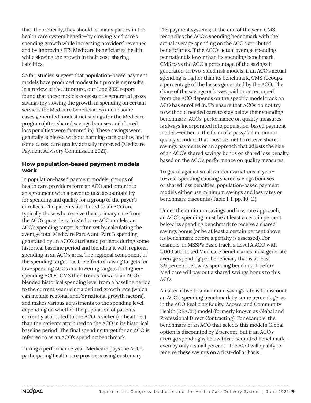that, theoretically, they should let many parties in the health care system benefit—by slowing Medicare's spending growth while increasing providers' revenues and by improving FFS Medicare beneficiaries' health while slowing the growth in their cost-sharing liabilities.

So far, studies suggest that population-based payment models have produced modest but promising results. In a review of the literature, our June 2021 report found that these models consistently generated gross savings (by slowing the growth in spending on certain services for Medicare beneficiaries) and in some cases generated modest net savings for the Medicare program (after shared savings bonuses and shared loss penalties were factored in). These savings were generally achieved without harming care quality, and in some cases, care quality actually improved (Medicare Payment Advisory Commission 2021).

#### **How population-based payment models work**

In population-based payment models, groups of health care providers form an ACO and enter into an agreement with a payer to take accountability for spending and quality for a group of the payer's enrollees. The patients attributed to an ACO are typically those who receive their primary care from the ACO's providers. In Medicare ACO models, an ACO's spending target is often set by calculating the average total Medicare Part A and Part B spending generated by an ACO's attributed patients during some historical baseline period and blending it with regional spending in an ACO's area. The regional component of the spending target has the effect of raising targets for low-spending ACOs and lowering targets for higherspending ACOs. CMS then trends forward an ACO's blended historical spending level from a baseline period to the current year using a defined growth rate (which can include regional and/or national growth factors), and makes various adjustments to the spending level, depending on whether the population of patients currently attributed to the ACO is sicker (or healthier) than the patients attributed to the ACO in its historical baseline period. The final spending target for an ACO is referred to as an ACO's spending benchmark.

During a performance year, Medicare pays the ACO's participating health care providers using customary

FFS payment systems; at the end of the year, CMS reconciles the ACO's spending benchmark with the actual average spending on the ACO's attributed beneficiaries. If the ACO's actual average spending per patient is lower than its spending benchmark, CMS pays the ACO a percentage of the savings it generated. In two-sided risk models, if an ACO's actual spending is higher than its benchmark, CMS recoups a percentage of the losses generated by the ACO. The share of the savings or losses paid to or recouped from the ACO depends on the specific model track an ACO has enrolled in. To ensure that ACOs do not try to withhold needed care to stay below their spending benchmark, ACOs' performance on quality measures is always incorporated into population-based payment models—either in the form of a pass/fail minimum quality standard that must be met to receive shared savings payments or an approach that adjusts the size of an ACO's shared savings bonus or shared loss penalty based on the ACO's performance on quality measures.

To guard against small random variations in yearto-year spending causing shared savings bonuses or shared loss penalties, population-based payment models either use minimum savings and loss rates or benchmark discounts (Table 1-1, pp. 10–11).

Under the minimum savings and loss rate approach, an ACO's spending must be at least a certain percent below its spending benchmark to receive a shared savings bonus (or be at least a certain percent above its benchmark before a penalty is assessed). For example, in MSSP's Basic track, a Level A ACO with 5,000 attributed Medicare beneficiaries must generate average spending per beneficiary that is at least 3.9 percent below its spending benchmark before Medicare will pay out a shared savings bonus to this ACO.

An alternative to a minimum savings rate is to discount an ACO's spending benchmark by some percentage, as in the ACO Realizing Equity, Access, and Community Health (REACH) model (formerly known as Global and Professional Direct Contracting). For example, the benchmark of an ACO that selects this model's Global option is discounted by 2 percent, but if an ACO's average spending is below this discounted benchmark even by only a small percent—the ACO will qualify to receive these savings on a first-dollar basis.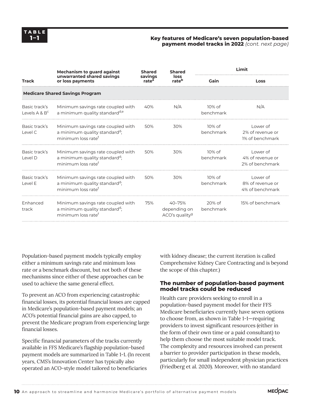#### **1–1 Key features of Medicare's seven population-based payment model tracks in 2022** *(cont. next page)*

| <b>Track</b>                       | <b>Mechanism to guard against</b><br>unwarranted shared savings<br>or loss payments                              | <b>Shared</b><br>savings<br>rate <sup>a</sup> | <b>Shared</b><br>loss<br>rate <sup>b</sup>           | Limit                  |                                                 |
|------------------------------------|------------------------------------------------------------------------------------------------------------------|-----------------------------------------------|------------------------------------------------------|------------------------|-------------------------------------------------|
|                                    |                                                                                                                  |                                               |                                                      | Gain                   | Loss                                            |
|                                    | <b>Medicare Shared Savings Program</b>                                                                           |                                               |                                                      |                        |                                                 |
| Basic track's<br>Levels $A \& B^c$ | Minimum savings rate coupled with<br>a minimum quality standard <sup>d,e</sup>                                   | 40%                                           | N/A                                                  | $10\%$ of<br>benchmark | N/A                                             |
| Basic track's<br>Level C           | Minimum savings rate coupled with<br>a minimum quality standard <sup>d</sup> ;<br>minimum loss rate <sup>f</sup> | 50%                                           | 30%                                                  | $10\%$ of<br>benchmark | Lower of<br>2% of revenue or<br>1% of benchmark |
| Basic track's<br>Level D           | Minimum savings rate coupled with<br>a minimum quality standard <sup>d</sup> ;<br>minimum loss rate <sup>f</sup> | 50%                                           | 30%                                                  | $10\%$ of<br>benchmark | Lower of<br>4% of revenue or<br>2% of benchmark |
| Basic track's<br>Level E           | Minimum savings rate coupled with<br>a minimum quality standard <sup>d</sup> ;<br>minimum loss rate <sup>f</sup> | 50%                                           | 30%                                                  | $10\%$ of<br>benchmark | Lower of<br>8% of revenue or<br>4% of benchmark |
| Enhanced<br>track                  | Minimum savings rate coupled with<br>a minimum quality standard <sup>d</sup> ;<br>minimum loss rate <sup>f</sup> | 75%                                           | 40-75%<br>depending on<br>ACO's quality <sup>g</sup> | $20%$ of<br>benchmark  | 15% of benchmark                                |
|                                    |                                                                                                                  |                                               |                                                      |                        |                                                 |

Population-based payment models typically employ either a minimum savings rate and minimum loss rate or a benchmark discount, but not both of these mechanisms since either of these approaches can be used to achieve the same general effect.

To prevent an ACO from experiencing catastrophic financial losses, its potential financial losses are capped in Medicare's population-based payment models; an ACO's potential financial gains are also capped, to prevent the Medicare program from experiencing large financial losses.

Specific financial parameters of the tracks currently available in FFS Medicare's flagship population-based payment models are summarized in Table 1-1. (In recent years, CMS's Innovation Center has typically also operated an ACO-style model tailored to beneficiaries

with kidney disease; the current iteration is called Comprehensive Kidney Care Contracting and is beyond the scope of this chapter.)

#### **The number of population-based payment model tracks could be reduced**

Health care providers seeking to enroll in a population-based payment model for their FFS Medicare beneficiaries currently have seven options to choose from, as shown in Table 1-1—requiring providers to invest significant resources (either in the form of their own time or a paid consultant) to help them choose the most suitable model track. The complexity and resources involved can present a barrier to provider participation in these models, particularly for small independent physician practices (Friedberg et al. 2020). Moreover, with no standard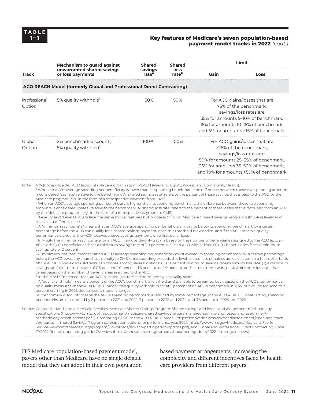#### **Key features of Medicare's seven population-based payment model tracks in 2022** *(cont.)*

| <b>Track</b>                                                                                                                  | <b>Mechanism to guard against</b>                                                                                                                                                                                                                                                                                                                                                                                                                                                                                                                                                                                                                                                                                                                                                                                                                                                                                                                                                                                                                                                                                                                                                                                                                                                                                                                                                                                                                                                                                                                                                                                                                                                                                                                                                                                                                                                                                                                                                                                                                                                                                                                                                                                                                                                                                                                                                                                                                                                                                                                                                                                                                                                                                                                                                                                                                                                                                                                                                                                                                                                                                                                                                                                                                                                                                                                                                                                                                                                                                                                                                                                                                                                                                                                                                                                                                                                                                    | <b>Shared</b>                | <b>Shared</b><br>loss<br>rate <sup>b</sup> | Limit                                                                                                                                                                                                      |      |
|-------------------------------------------------------------------------------------------------------------------------------|----------------------------------------------------------------------------------------------------------------------------------------------------------------------------------------------------------------------------------------------------------------------------------------------------------------------------------------------------------------------------------------------------------------------------------------------------------------------------------------------------------------------------------------------------------------------------------------------------------------------------------------------------------------------------------------------------------------------------------------------------------------------------------------------------------------------------------------------------------------------------------------------------------------------------------------------------------------------------------------------------------------------------------------------------------------------------------------------------------------------------------------------------------------------------------------------------------------------------------------------------------------------------------------------------------------------------------------------------------------------------------------------------------------------------------------------------------------------------------------------------------------------------------------------------------------------------------------------------------------------------------------------------------------------------------------------------------------------------------------------------------------------------------------------------------------------------------------------------------------------------------------------------------------------------------------------------------------------------------------------------------------------------------------------------------------------------------------------------------------------------------------------------------------------------------------------------------------------------------------------------------------------------------------------------------------------------------------------------------------------------------------------------------------------------------------------------------------------------------------------------------------------------------------------------------------------------------------------------------------------------------------------------------------------------------------------------------------------------------------------------------------------------------------------------------------------------------------------------------------------------------------------------------------------------------------------------------------------------------------------------------------------------------------------------------------------------------------------------------------------------------------------------------------------------------------------------------------------------------------------------------------------------------------------------------------------------------------------------------------------------------------------------------------------------------------------------------------------------------------------------------------------------------------------------------------------------------------------------------------------------------------------------------------------------------------------------------------------------------------------------------------------------------------------------------------------------------------------------------------------------------------------------------------------|------------------------------|--------------------------------------------|------------------------------------------------------------------------------------------------------------------------------------------------------------------------------------------------------------|------|
|                                                                                                                               | unwarranted shared savings<br>or loss payments                                                                                                                                                                                                                                                                                                                                                                                                                                                                                                                                                                                                                                                                                                                                                                                                                                                                                                                                                                                                                                                                                                                                                                                                                                                                                                                                                                                                                                                                                                                                                                                                                                                                                                                                                                                                                                                                                                                                                                                                                                                                                                                                                                                                                                                                                                                                                                                                                                                                                                                                                                                                                                                                                                                                                                                                                                                                                                                                                                                                                                                                                                                                                                                                                                                                                                                                                                                                                                                                                                                                                                                                                                                                                                                                                                                                                                                                       | savings<br>rate <sup>a</sup> |                                            | Gain                                                                                                                                                                                                       | Loss |
|                                                                                                                               | ACO REACH Model (formerly Global and Professional Direct Contracting)                                                                                                                                                                                                                                                                                                                                                                                                                                                                                                                                                                                                                                                                                                                                                                                                                                                                                                                                                                                                                                                                                                                                                                                                                                                                                                                                                                                                                                                                                                                                                                                                                                                                                                                                                                                                                                                                                                                                                                                                                                                                                                                                                                                                                                                                                                                                                                                                                                                                                                                                                                                                                                                                                                                                                                                                                                                                                                                                                                                                                                                                                                                                                                                                                                                                                                                                                                                                                                                                                                                                                                                                                                                                                                                                                                                                                                                |                              |                                            |                                                                                                                                                                                                            |      |
| Professional<br>Option                                                                                                        | 5% quality withhold <sup>h</sup>                                                                                                                                                                                                                                                                                                                                                                                                                                                                                                                                                                                                                                                                                                                                                                                                                                                                                                                                                                                                                                                                                                                                                                                                                                                                                                                                                                                                                                                                                                                                                                                                                                                                                                                                                                                                                                                                                                                                                                                                                                                                                                                                                                                                                                                                                                                                                                                                                                                                                                                                                                                                                                                                                                                                                                                                                                                                                                                                                                                                                                                                                                                                                                                                                                                                                                                                                                                                                                                                                                                                                                                                                                                                                                                                                                                                                                                                                     | 50%                          | 50%                                        | For ACO gains/losses that are<br>>5% of the benchmark,<br>savings/loss rates are<br>35% for amounts 5-10% of benchmark,<br>15% for amounts 10-15% of benchmark,<br>and 5% for amounts >15% of benchmark    |      |
| Global<br>Option                                                                                                              | 2% benchmark discount';<br>5% quality withhold <sup>h</sup>                                                                                                                                                                                                                                                                                                                                                                                                                                                                                                                                                                                                                                                                                                                                                                                                                                                                                                                                                                                                                                                                                                                                                                                                                                                                                                                                                                                                                                                                                                                                                                                                                                                                                                                                                                                                                                                                                                                                                                                                                                                                                                                                                                                                                                                                                                                                                                                                                                                                                                                                                                                                                                                                                                                                                                                                                                                                                                                                                                                                                                                                                                                                                                                                                                                                                                                                                                                                                                                                                                                                                                                                                                                                                                                                                                                                                                                          | 100%                         | 100%                                       | For ACO gains/losses that are<br>>25% of the benchmark,<br>savings/loss rates are<br>50% for amounts 25-35% of benchmark,<br>25% for amounts 35-50% of benchmark,<br>and 10% for amounts >50% of benchmark |      |
| Note:<br>PY2022 financial operating guide: Overview (https://innovation.cms.gov/media/document/gpdc-py2022-fin-op-guide-owy). | N/A (not applicable), ACO (accountable care organization), REACH (Realizing Equity, Access, and Community Health).<br>a When an ACO's average spending per beneficiary is lower than its spending benchmark, the difference between those two spending amounts<br>is considered "savings" relative to the benchmark. A "shared savings rate" refers to the percent of those savings that is paid to the ACO by the<br>Medicare program (e.g., in the form of a retrospective payment from CMS).<br><sup>b</sup> When an ACO's average spending per beneficiary is higher than its spending benchmark, the difference between those two spending<br>amounts is considered "losses" relative to the benchmark. A "shared loss rate" refers to the percent of those losses that is recouped from an ACO<br>by the Medicare program (e.g., in the form of a retrospective payment to CMS).<br><sup>c</sup> "Level A" and "Level B" ACOs face the same model features but progress through Medicare Shared Savings Program's (MSSP's) levels and<br>tracks at a different pace.<br><sup>d</sup> A "minimum savings rate" means that an ACO's average spending per beneficiary must be below its spending benchmark by a certain<br>percentage before the ACO can qualify for a shared savings payment; once this threshold is exceeded, and if the ACO meets a quality<br>performance standard, the ACO receives shared savings payments on a first-dollar basis.<br><sup>e</sup> In MSSP, the minimum savings rate for an ACO in an upside-only track is based on the number of beneficiaries assigned to the ACO (e.g., an<br>ACO with 5,000 beneficiaries faces a minimum savings rate of 3.9 percent, while an ACO with at least 60,000 beneficiaries faces a minimum<br>savings rate of 2 percent).<br>$^\dagger$ A "minimum loss rate" means that an ACO's average spending per beneficiary must exceed its spending benchmark by a certain percentage<br>before the ACO owes any shared loss penalty to CMS; once spending exceeds this level, shared loss penalties are calculated on a first-dollar basis.<br>MSSP ACOs in two-sided risk tracks can choose among several options: (1) a 0 percent minimum savings rate/minimum loss rate; (2) a minimum<br>savings rate/minimum loss rate of 0.5 percent, 1.0 percent, 1.5 percent, or 2.0 percent; or (3) a minimum savings rate/minimum loss rate that<br>varies based on the number of beneficiaries assigned to the ACO.<br><sup>9</sup> In the MSSP Enhanced track, an ACO's shared loss rate is determined by its quality score.<br>h A "quality withhold" means a percent of the ACO's benchmark is withheld and available to be earned back based on the ACO's performance<br>on quality measures. In the ACO REACH Model, this quality withhold is set at 5 percent of an ACO's benchmark in 2022 but will be reduced to 2<br>percent starting in 2023 due to recent model changes.<br>A "benchmark discount" means the ACO's spending benchmark is reduced by some percentage. In the ACO REACH Global Option, spending<br>benchmarks are discounted by 2 percent in 2021 and 2022, 3 percent in 2023 and 2024, and 3.5 percent in 2025 and 2026.<br>Source: Centers for Medicare & Medicaid Services' Medicare Shared Savings Program: Shared savings and losses and assignment methodology<br>specifications (https://www.cms.gov/files/document/medicare-shared-savings-program-shared-savings-and-losses-and-assignment-<br>methodology-specifications.pdf-1), Comparing GPDC to the ACO REACH Model (https://innovation.cms.gov/media/document/gpdc-aco-reach-<br>comparison), Shared Savings Program participation options for performance year 2022 (https://www.cms.gov/Medicare/Medicare-Fee-for-<br>Service-Payment/sharedsavingsprogram/Downloads/ssp-aco-participation-options.pdf), and Global and Professional Direct Contracting Model |                              |                                            |                                                                                                                                                                                                            |      |

FFS Medicare population-based payment model, payers other than Medicare have no single default model that they can adopt in their own populationbased payment arrangements, increasing the complexity and different incentives faced by health care providers from different payers.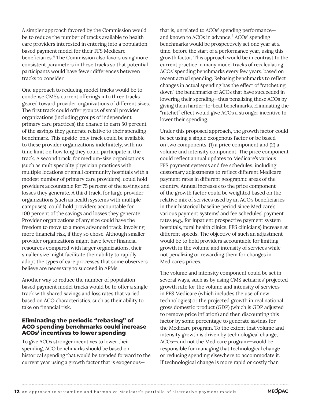A simpler approach favored by the Commission would be to reduce the number of tracks available to health care providers interested in entering into a populationbased payment model for their FFS Medicare beneficiaries.<sup>4</sup> The Commission also favors using more consistent parameters in these tracks so that potential participants would have fewer differences between tracks to consider.

One approach to reducing model tracks would be to condense CMS's current offerings into three tracks geared toward provider organizations of different sizes. The first track could offer groups of small provider organizations (including groups of independent primary care practices) the chance to earn 50 percent of the savings they generate relative to their spending benchmark. This upside-only track could be available to these provider organizations indefinitely, with no time limit on how long they could participate in the track. A second track, for medium-size organizations (such as multispecialty physician practices with multiple locations or small community hospitals with a modest number of primary care providers), could hold providers accountable for 75 percent of the savings and losses they generate. A third track, for large provider organizations (such as health systems with multiple campuses), could hold providers accountable for 100 percent of the savings and losses they generate. Provider organizations of any size could have the freedom to move to a more advanced track, involving more financial risk, if they so chose. Although smaller provider organizations might have fewer financial resources compared with larger organizations, their smaller size might facilitate their ability to rapidly adopt the types of care processes that some observers believe are necessary to succeed in APMs.

Another way to reduce the number of populationbased payment model tracks would be to offer a single track with shared savings and loss rates that varied based on ACO characteristics, such as their ability to take on financial risk.

#### **Eliminating the periodic "rebasing" of ACO spending benchmarks could increase ACOs' incentives to lower spending**

To give ACOs stronger incentives to lower their spending, ACO benchmarks should be based on historical spending that would be trended forward to the current year using a growth factor that is exogenousthat is, unrelated to ACOs' spending performance and known to ACOs in advance.<sup>5</sup> ACOs' spending benchmarks would be prospectively set one year at a time, before the start of a performance year, using this growth factor. This approach would be in contrast to the current practice in many model tracks of recalculating ACOs' spending benchmarks every few years, based on recent actual spending. Rebasing benchmarks to reflect changes in actual spending has the effect of "ratcheting down" the benchmarks of ACOs that have succeeded in lowering their spending—thus penalizing these ACOs by giving them harder-to-beat benchmarks. Eliminating the "ratchet" effect would give ACOs a stronger incentive to lower their spending.

Under this proposed approach, the growth factor could be set using a single exogenous factor or be based on two components: (1) a price component and (2) a volume and intensity component. The price component could reflect annual updates to Medicare's various FFS payment systems and fee schedules, including customary adjustments to reflect different Medicare payment rates in different geographic areas of the country. Annual increases to the price component of the growth factor could be weighted based on the relative mix of services used by an ACO's beneficiaries in their historical baseline period since Medicare's various payment systems' and fee schedules' payment rates (e.g., for inpatient prospective payment system hospitals, rural health clinics, FFS clinicians) increase at different speeds. The objective of such an adjustment would be to hold providers accountable for limiting growth in the volume and intensity of services while not penalizing or rewarding them for changes in Medicare's prices.

The volume and intensity component could be set in several ways, such as by using CMS actuaries' projected growth rate for the volume and intensity of services in FFS Medicare (which includes the use of new technologies) or the projected growth in real national gross domestic product (GDP) (which is GDP adjusted to remove price inflation) and then discounting this factor by some percentage to generate savings for the Medicare program. To the extent that volume and intensity growth is driven by technological change, ACOs—and not the Medicare program—would be responsible for managing that technological change or reducing spending elsewhere to accommodate it. If technological change is more rapid or costly than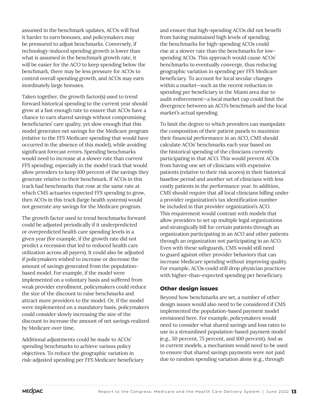assumed in the benchmark updates, ACOs will find it harder to earn bonuses, and policymakers may be pressured to adjust benchmarks. Conversely, if technology-induced spending growth is lower than what is assumed in the benchmark growth rate, it will be easier for the ACO to keep spending below the benchmark, there may be less pressure for ACOs to control overall spending growth, and ACOs may earn inordinately large bonuses.

Taken together, the growth factor(s) used to trend forward historical spending to the current year should grow at a fast enough rate to ensure that ACOs have a chance to earn shared savings without compromising beneficiaries' care quality, yet slow enough that this model generates net savings for the Medicare program (relative to the FFS Medicare spending that would have occurred in the absence of this model), while avoiding significant forecast errors. Spending benchmarks would need to increase at a slower rate than current FFS spending, especially in the model track that would allow providers to keep 100 percent of the savings they generate relative to their benchmark. If ACOs in this track had benchmarks that rose at the same rate at which CMS actuaries expected FFS spending to grow, then ACOs in this track (large health systems) would not generate any savings for the Medicare program.

The growth factor used to trend benchmarks forward could be adjusted periodically if it underpredicted or overpredicted health care spending levels in a given year (for example, if the growth rate did not predict a recession that led to reduced health care utilization across all payers). It could also be adjusted if policymakers wished to increase or decrease the amount of savings generated from the populationbased model. For example, if the model were implemented on a voluntary basis and suffered from weak provider enrollment, policymakers could reduce the size of the discount to raise benchmarks and attract more providers to the model. Or, if the model were implemented on a mandatory basis, policymakers could consider slowly increasing the size of the discount to increase the amount of net savings realized by Medicare over time.

Additional adjustments could be made to ACOs' spending benchmarks to achieve various policy objectives. To reduce the geographic variation in risk-adjusted spending per FFS Medicare beneficiary and ensure that high-spending ACOs did not benefit from having maintained high levels of spending, the benchmarks for high-spending ACOs could rise at a slower rate than the benchmarks for lowspending ACOs. This approach would cause ACOs' benchmarks to eventually converge, thus reducing geographic variation in spending per FFS Medicare beneficiary. To account for local secular changes within a market—such as the recent reduction in spending per beneficiary in the Miami area due to audit enforcement—a local market cap could limit the divergence between an ACO's benchmark and the local market's actual spending.

To limit the degree to which providers can manipulate the composition of their patient panels to maximize their financial performance in an ACO, CMS should calculate ACOs' benchmarks each year based on the historical spending of the clinicians currently participating in that ACO. This would prevent ACOs from having one set of clinicians with expensive patients (relative to their risk scores) in their historical baseline period and another set of clinicians with less costly patients in the performance year. In addition, CMS should require that all local clinicians billing under a provider organization's tax identification number be included in that provider organization's ACO. This requirement would contrast with models that allow providers to set up multiple legal organizations and strategically bill for certain patients through an organization participating in an ACO and other patients through an organization not participating in an ACO. Even with these safeguards, CMS would still need to guard against other provider behaviors that can increase Medicare spending without improving quality. For example, ACOs could still drop physician practices with higher-than-expected spending per beneficiary.

#### **Other design issues**

Beyond how benchmarks are set, a number of other design issues would also need to be considered if CMS implemented the population-based payment model envisioned here. For example, policymakers would need to consider what shared savings and loss rates to use in a streamlined population-based payment model (e.g., 50 percent, 75 percent, and 100 percent). And as in current models, a mechanism would need to be used to ensure that shared savings payments were not paid due to random spending variation alone (e.g., through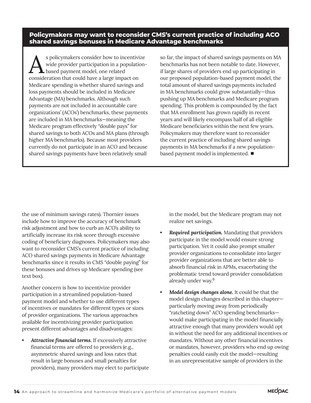**Policymakers may want to reconsider CMS's current practice of including ACO shared savings bonuses in Medicare Advantage benchmarks**

s policymakers consider how to incentivize wide provider participation in a population-**L** based payment model, one related consideration that could have a large impact on Medicare spending is whether shared savings and loss payments should be included in Medicare Advantage (MA) benchmarks. Although such payments are not included in accountable care organizations' (ACOs') benchmarks, these payments are included in MA benchmarks—meaning the Medicare program effectively "double pays" for shared savings to both ACOs and MA plans (through higher MA benchmarks). Because most providers currently do not participate in an ACO and because shared savings payments have been relatively small

so far, the impact of shared savings payments on MA benchmarks has not been notable to date. However, if large shares of providers end up participating in our proposed population-based payment model, the total amount of shared savings payments included in MA benchmarks could grow substantially—thus pushing up MA benchmarks and Medicare program spending. This problem is compounded by the fact that MA enrollment has grown rapidly in recent years and will likely encompass half of all eligible Medicare beneficiaries within the next few years. Policymakers may therefore want to reconsider the current practice of including shared savings payments in MA benchmarks if a new populationbased payment model is implemented. ■

the use of minimum savings rates). Thornier issues include how to improve the accuracy of benchmark risk adjustment and how to curb an ACO's ability to artificially increase its risk score through excessive coding of beneficiary diagnoses. Policymakers may also want to reconsider CMS's current practice of including ACO shared savings payments in Medicare Advantage benchmarks since it results in CMS "double paying" for these bonuses and drives up Medicare spending (see text box).

Another concern is how to incentivize provider participation in a streamlined population-based payment model and whether to use different types of incentives or mandates for different types or sizes of provider organizations. The various approaches available for incentivizing provider participation present different advantages and disadvantages:

*• Attractive financial terms.* If excessively attractive financial terms are offered to providers (e.g., asymmetric shared savings and loss rates that result in large bonuses and small penalties for providers), many providers may elect to participate in the model, but the Medicare program may not realize net savings.

- *• Required participation.* Mandating that providers participate in the model would ensure strong participation. Yet it could also prompt smaller provider organizations to consolidate into larger provider organizations that are better able to absorb financial risk in APMs, exacerbating the problematic trend toward provider consolidation already under way.<sup>6</sup>
- *• Model design changes alone.* It could be that the model design changes described in this chapter particularly moving away from periodically "ratcheting down" ACO spending benchmarks would make participating in the model financially attractive enough that many providers would opt in without the need for any additional incentives or mandates. Without any other financial incentives or mandates, however, providers who end up owing penalties could easily exit the model—resulting in an unrepresentative sample of providers in the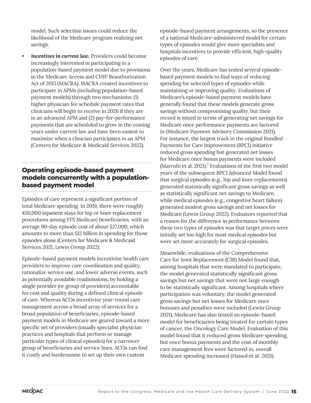model. Such selection issues could reduce the likelihood of the Medicare program realizing net savings.

**Incentives in current law.** Providers could become increasingly interested in participating in a population-based payment model due to provisions in the Medicare Access and CHIP Reauthorization Act of 2015 (MACRA). MACRA created incentives to participate in APMs (including population-based payment models) through two mechanisms: (1) higher physician fee schedule payment rates that clinicians will begin to receive in 2026 if they are in an advanced APM and (2) pay-for-performance payments that are scheduled to grow in the coming years under current law and have been easiest to maximize when a clinician participates in an APM (Centers for Medicare & Medicaid Services 2022).

## **Operating episode-based payment models concurrently with a populationbased payment model**

Episodes of care represent a significant portion of total Medicare spending. In 2019, there were roughly 450,000 inpatient stays for hip or knee replacement procedures among FFS Medicare beneficiaries, with an average 90-day episode cost of about \$27,000, which amounts to more than \$12 billion in spending for those episodes alone (Centers for Medicare & Medicaid Services 2021, Lewin Group 2022).

Episode-based payment models incentivize health care providers to improve care coordination and quality, rationalize service use, and lower adverse events, such as potentially avoidable readmissions, by holding a single provider (or group of providers) accountable for cost and quality during a defined clinical episode of care. Whereas ACOs incentivize year-round care management across a broad array of services for a broad population of beneficiaries, episode-based payment models in Medicare are geared toward a more specific set of providers (usually specialist physician practices and hospitals that perform or manage particular types of clinical episodes) for a narrower group of beneficiaries and service lines. ACOs can find it costly and burdensome to set up their own custom

episode-based payment arrangements, so the presence of a national Medicare-administered model for certain types of episodes would give more specialists and hospitals incentives to provide efficient, high-quality episodes of care.

Over the years, Medicare has tested several episodebased payment models to find ways of reducing spending for selected types of episodes while maintaining or improving quality. Evaluations of Medicare's episode-based payment models have generally found that these models generate gross savings without compromising quality, but their record is mixed in terms of generating net savings for Medicare once performance payments are factored in (Medicare Payment Advisory Commission 2021). For instance, the largest track in the original Bundled Payments for Care Improvement (BPCI) initiative reduced gross spending but generated net losses for Medicare once bonus payments were included (Marrufo et al.  $2021$ ).<sup>7</sup> Evaluations of the first two model years of the subsequent BPCI Advanced Model found that surgical episodes (e.g., hip and knee replacements) generated statistically significant gross savings as well as statistically significant net savings to Medicare, while medical episodes (e.g., congestive heart failure) generated modest gross savings and net losses for Medicare (Lewin Group 2022). Evaluators reported that a reason for the difference in performance between these two types of episodes was that target prices were initially set too high for most medical episodes but were set more accurately for surgical episodes.

Meanwhile, evaluations of the Comprehensive Care for Joint Replacement (CJR) Model found that, among hospitals that were mandated to participate, the model generated statistically significant gross savings but net savings that were not large enough to be statistically significant. Among hospitals where participation was voluntary, the model generated gross savings but net losses for Medicare once bonuses and penalties were included (Lewin Group 2021). Medicare has also tested an episode-based model for beneficiaries being treated for certain types of cancer, the Oncology Care Model. Evaluation of this model found that it reduced gross Medicare spending, but once bonus payments and the cost of monthly care management fees were factored in, overall Medicare spending increased (Hassol et al. 2021).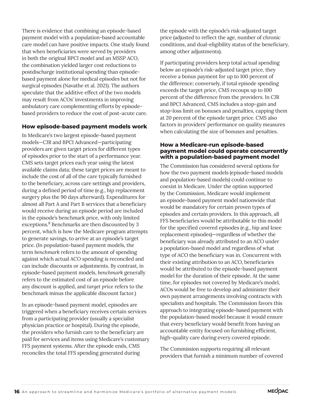There is evidence that combining an episode-based payment model with a population-based accountable care model can have positive impacts. One study found that when beneficiaries were served by providers in both the original BPCI model and an MSSP ACO, the combination yielded larger cost reductions to postdischarge institutional spending than episodebased payment alone for medical episodes but not for surgical episodes (Navathe et al. 2021). The authors speculate that the additive effect of the two models may result from ACOs' investments in improving ambulatory care complementing efforts by episodebased providers to reduce the cost of post-acute care.

#### **How episode-based payment models work**

In Medicare's two largest episode-based payment models—CJR and BPCI Advanced—participating providers are given target prices for different types of episodes prior to the start of a performance year. CMS sets target prices each year using the latest available claims data; these target prices are meant to include the cost of all of the care typically furnished to the beneficiary, across care settings and providers, during a defined period of time (e.g., hip replacement surgery plus the 90 days afterward). Expenditures for almost all Part A and Part B services that a beneficiary would receive during an episode period are included in the episode's benchmark price, with only limited exceptions.<sup>8</sup> Benchmarks are then discounted by 3 percent, which is how the Medicare program attempts to generate savings, to arrive at an episode's target price. (In population-based payment models, the term *benchmark* refers to the amount of spending against which actual ACO spending is reconciled and can include discounts or adjustments. By contrast, in episode-based payment models, *benchmark* generally refers to the estimated cost of an episode before any discount is applied, and *target price* refers to the benchmark minus the applicable discount factor.)

In an episode-based payment model, episodes are triggered when a beneficiary receives certain services from a participating provider (usually a specialist physician practice or hospital). During the episode, the providers who furnish care to the beneficiary are paid for services and items using Medicare's customary FFS payment systems. After the episode ends, CMS reconciles the total FFS spending generated during

the episode with the episode's risk-adjusted target price (adjusted to reflect the age, number of chronic conditions, and dual-eligibility status of the beneficiary, among other adjustments).

If participating providers keep total actual spending below an episode's risk-adjusted target price, they receive a bonus payment for up to 100 percent of the difference; conversely, if total episode spending exceeds the target price, CMS recoups up to 100 percent of the difference from the providers. In CJR and BPCI Advanced, CMS includes a stop-gain and stop-loss limit on bonuses and penalties, capping them at 20 percent of the episode target price. CMS also factors in providers' performance on quality measures when calculating the size of bonuses and penalties.

#### **How a Medicare-run episode-based payment model could operate concurrently with a population-based payment model**

The Commission has considered several options for how the two payment models (episode-based models and population-based models) could continue to coexist in Medicare. Under the option supported by the Commission, Medicare would implement an episode-based payment model nationwide that would be mandatory for certain proven types of episodes and certain providers. In this approach, all FFS beneficiaries would be attributable to this model for the specified covered episodes (e.g., hip and knee replacement episodes)—regardless of whether the beneficiary was already attributed to an ACO under a population-based model and regardless of what type of ACO the beneficiary was in. Concurrent with their existing attribution to an ACO, beneficiaries would be attributed to the episode-based payment model for the duration of their episode. At the same time, for episodes not covered by Medicare's model, ACOs would be free to develop and administer their own payment arrangements involving contracts with specialists and hospitals. The Commission favors this approach to integrating episode-based payment with the population-based model because it would ensure that every beneficiary would benefit from having an accountable entity focused on furnishing efficient, high-quality care during every covered episode.

The Commission supports requiring all relevant providers that furnish a minimum number of covered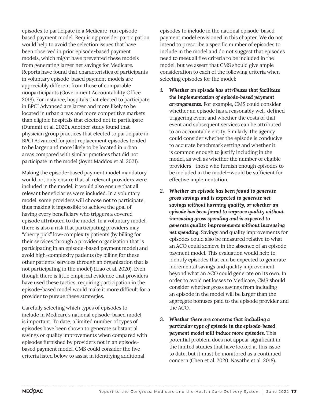episodes to participate in a Medicare-run episodebased payment model. Requiring provider participation would help to avoid the selection issues that have been observed in prior episode-based payment models, which might have prevented these models from generating larger net savings for Medicare. Reports have found that characteristics of participants in voluntary episode-based payment models are appreciably different from those of comparable nonparticipants (Government Accountability Office 2018). For instance, hospitals that elected to participate in BPCI Advanced are larger and more likely to be located in urban areas and more competitive markets than eligible hospitals that elected not to participate (Dummit et al. 2020). Another study found that physician group practices that elected to participate in BPCI Advanced for joint replacement episodes tended to be larger and more likely to be located in urban areas compared with similar practices that did not participate in the model (Joynt Maddox et al. 2021).

Making the episode-based payment model mandatory would not only ensure that all relevant providers were included in the model, it would also ensure that all relevant beneficiaries were included. In a voluntary model, some providers will choose not to participate, thus making it impossible to achieve the goal of having every beneficiary who triggers a covered episode attributed to the model. In a voluntary model, there is also a risk that participating providers may "cherry pick" low-complexity patients (by billing for their services through a provider organization that is participating in an episode-based payment model) and avoid high-complexity patients (by billing for these other patients' services through an organization that is not participating in the model) (Liao et al. 2020). Even though there is little empirical evidence that providers have used these tactics, requiring participation in the episode-based model would make it more difficult for a provider to pursue these strategies.

Carefully selecting which types of episodes to include in Medicare's national episode-based model is important. To date, a limited number of types of episodes have been shown to generate substantial savings or quality improvements when compared with episodes furnished by providers not in an episodebased payment model. CMS could consider the five criteria listed below to assist in identifying additional

episodes to include in the national episode-based payment model envisioned in this chapter. We do not intend to prescribe a specific number of episodes to include in the model and do not suggest that episodes need to meet all five criteria to be included in the model, but we assert that CMS should give ample consideration to each of the following criteria when selecting episodes for the model:

- *1. Whether an episode has attributes that facilitate the implementation of episode-based payment arrangements.* For example, CMS could consider whether an episode has a reasonably well-defined triggering event and whether the costs of that event and subsequent services can be attributed to an accountable entity. Similarly, the agency could consider whether the episode is conducive to accurate benchmark setting and whether it is common enough to justify including in the model, as well as whether the number of eligible providers—those who furnish enough episodes to be included in the model—would be sufficient for effective implementation.
- *2. Whether an episode has been found to generate gross savings and is expected to generate net savings without harming quality, or whether an episode has been found to improve quality without increasing gross spending and is expected to generate quality improvements without increasing net spending.* Savings and quality improvements for episodes could also be measured relative to what an ACO could achieve in the absence of an episode payment model. This evaluation would help to identify episodes that can be expected to generate incremental savings and quality improvement beyond what an ACO could generate on its own. In order to avoid net losses to Medicare, CMS should consider whether gross savings from including an episode in the model will be larger than the aggregate bonuses paid to the episode provider and the ACO.
- *3. Whether there are concerns that including a particular type of episode in the episode-based payment model will induce more episodes.* This potential problem does not appear significant in the limited studies that have looked at this issue to date, but it must be monitored as a continued concern (Chen et al. 2020, Navathe et al. 2018).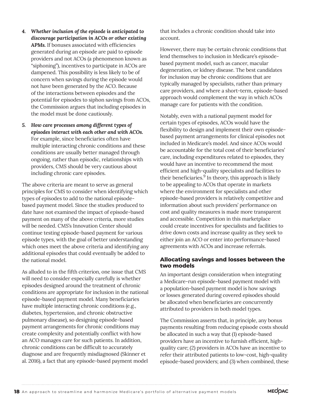- *4. Whether inclusion of the episode is anticipated to discourage participation in ACOs or other existing APMs.* If bonuses associated with efficiencies generated during an episode are paid to episode providers and not ACOs (a phenomenon known as "siphoning"), incentives to participate in ACOs are dampened. This possibility is less likely to be of concern when savings during the episode would not have been generated by the ACO. Because of the interactions between episodes and the potential for episodes to siphon savings from ACOs, the Commission argues that including episodes in the model must be done cautiously.
- *5. How care processes among different types of episodes interact with each other and with ACOs.* For example, since beneficiaries often have multiple interacting chronic conditions and these conditions are usually better managed through ongoing, rather than episodic, relationships with providers, CMS should be very cautious about including chronic care episodes.

The above criteria are meant to serve as general principles for CMS to consider when identifying which types of episodes to add to the national episodebased payment model. Since the studies produced to date have not examined the impact of episode-based payment on many of the above criteria, more studies will be needed. CMS's Innovation Center should continue testing episode-based payment for various episode types, with the goal of better understanding which ones meet the above criteria and identifying any additional episodes that could eventually be added to the national model.

As alluded to in the fifth criterion, one issue that CMS will need to consider especially carefully is whether episodes designed around the treatment of chronic conditions are appropriate for inclusion in the national episode-based payment model. Many beneficiaries have multiple interacting chronic conditions (e.g., diabetes, hypertension, and chronic obstructive pulmonary disease), so designing episode-based payment arrangements for chronic conditions may create complexity and potentially conflict with how an ACO manages care for such patients. In addition, chronic conditions can be difficult to accurately diagnose and are frequently misdiagnosed (Skinner et al. 2016), a fact that any episode-based payment model

that includes a chronic condition should take into account.

However, there may be certain chronic conditions that lend themselves to inclusion in Medicare's episodebased payment model, such as cancer, macular degeneration, or kidney disease. The best candidates for inclusion may be chronic conditions that are typically managed by specialists, rather than primary care providers, and where a short-term, episode-based approach would complement the way in which ACOs manage care for patients with the condition.

Notably, even with a national payment model for certain types of episodes, ACOs would have the flexibility to design and implement their own episodebased payment arrangements for clinical episodes not included in Medicare's model. And since ACOs would be accountable for the total cost of their beneficiaries' care, including expenditures related to episodes, they would have an incentive to recommend the most efficient and high-quality specialists and facilities to their beneficiaries. $9$  In theory, this approach is likely to be appealing to ACOs that operate in markets where the environment for specialists and other episode-based providers is relatively competitive and information about such providers' performance on cost and quality measures is made more transparent and accessible. Competition in this marketplace could create incentives for specialists and facilities to drive down costs and increase quality as they seek to either join an ACO or enter into performance-based agreements with ACOs and increase referrals.

#### **Allocating savings and losses between the two models**

An important design consideration when integrating a Medicare-run episode-based payment model with a population-based payment model is how savings or losses generated during covered episodes should be allocated when beneficiaries are concurrently attributed to providers in both model types.

The Commission asserts that, in principle, any bonus payments resulting from reducing episode costs should be allocated in such a way that (1) episode-based providers have an incentive to furnish efficient, highquality care; (2) providers in ACOs have an incentive to refer their attributed patients to low-cost, high-quality episode-based providers; and (3) when combined, these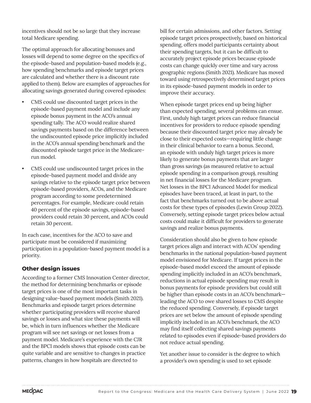incentives should not be so large that they increase total Medicare spending.

The optimal approach for allocating bonuses and losses will depend to some degree on the specifics of the episode-based and population-based models (e.g., how spending benchmarks and episode target prices are calculated and whether there is a discount rate applied to them). Below are examples of approaches for allocating savings generated during covered episodes:

- CMS could use discounted target prices in the episode-based payment model and include any episode bonus payment in the ACO's annual spending tally. The ACO would realize shared savings payments based on the difference between the undiscounted episode price implicitly included in the ACO's annual spending benchmark and the discounted episode target price in the Medicarerun model.
- CMS could use undiscounted target prices in the episode-based payment model and divide any savings relative to the episode target price between episode-based providers, ACOs, and the Medicare program according to some predetermined percentages. For example, Medicare could retain 40 percent of the episode savings, episode-based providers could retain 30 percent, and ACOs could retain 30 percent.

In each case, incentives for the ACO to save and participate must be considered if maximizing participation in a population-based payment model is a priority.

### **Other design issues**

According to a former CMS Innovation Center director, the method for determining benchmarks or episode target prices is one of the most important tasks in designing value-based payment models (Smith 2021). Benchmarks and episode target prices determine whether participating providers will receive shared savings or losses and what size these payments will be, which in turn influences whether the Medicare program will see net savings or net losses from a payment model. Medicare's experience with the CJR and the BPCI models shows that episode costs can be quite variable and are sensitive to changes in practice patterns, changes in how hospitals are directed to

bill for certain admissions, and other factors. Setting episode target prices prospectively, based on historical spending, offers model participants certainty about their spending targets, but it can be difficult to accurately project episode prices because episode costs can change quickly over time and vary across geographic regions (Smith 2021). Medicare has moved toward using retrospectively determined target prices in its episode-based payment models in order to improve their accuracy.

When episode target prices end up being higher than expected spending, several problems can ensue. First, unduly high target prices can reduce financial incentives for providers to reduce episode spending because their discounted target price may already be close to their expected costs—requiring little change in their clinical behavior to earn a bonus. Second, an episode with unduly high target prices is more likely to generate bonus payments that are larger than gross savings (as measured relative to actual episode spending in a comparison group), resulting in net financial losses for the Medicare program. Net losses in the BPCI Advanced Model for medical episodes have been traced, at least in part, to the fact that benchmarks turned out to be above actual costs for these types of episodes (Lewin Group 2022). Conversely, setting episode target prices below actual costs could make it difficult for providers to generate savings and realize bonus payments.

Consideration should also be given to how episode target prices align and interact with ACOs' spending benchmarks in the national population-based payment model envisioned for Medicare. If target prices in the episode-based model exceed the amount of episode spending implicitly included in an ACO's benchmark, reductions in actual episode spending may result in bonus payments for episode providers but could still be higher than episode costs in an ACO's benchmark leading the ACO to owe shared losses to CMS despite the reduced spending. Conversely, if episode target prices are set below the amount of episode spending implicitly included in an ACO's benchmark, the ACO may find itself collecting shared savings payments related to episodes even if episode-based providers do not reduce actual spending.

Yet another issue to consider is the degree to which a provider's own spending is used to set episode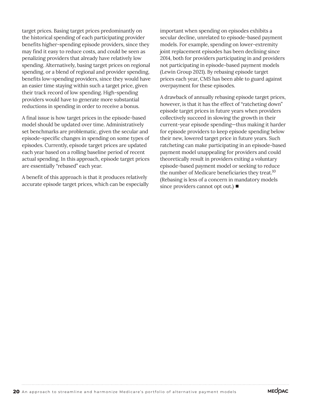target prices. Basing target prices predominantly on the historical spending of each participating provider benefits higher-spending episode providers, since they may find it easy to reduce costs, and could be seen as penalizing providers that already have relatively low spending. Alternatively, basing target prices on regional spending, or a blend of regional and provider spending, benefits low-spending providers, since they would have an easier time staying within such a target price, given their track record of low spending. High-spending providers would have to generate more substantial reductions in spending in order to receive a bonus.

A final issue is how target prices in the episode-based model should be updated over time. Administratively set benchmarks are problematic, given the secular and episode-specific changes in spending on some types of episodes. Currently, episode target prices are updated each year based on a rolling baseline period of recent actual spending. In this approach, episode target prices are essentially "rebased" each year.

A benefit of this approach is that it produces relatively accurate episode target prices, which can be especially

important when spending on episodes exhibits a secular decline, unrelated to episode-based payment models. For example, spending on lower-extremity joint replacement episodes has been declining since 2014, both for providers participating in and providers not participating in episode-based payment models (Lewin Group 2021). By rebasing episode target prices each year, CMS has been able to guard against overpayment for these episodes.

A drawback of annually rebasing episode target prices, however, is that it has the effect of "ratcheting down" episode target prices in future years when providers collectively succeed in slowing the growth in their current-year episode spending—thus making it harder for episode providers to keep episode spending below their new, lowered target price in future years. Such ratcheting can make participating in an episode-based payment model unappealing for providers and could theoretically result in providers exiting a voluntary episode-based payment model or seeking to reduce the number of Medicare beneficiaries they treat.<sup>10</sup> (Rebasing is less of a concern in mandatory models since providers cannot opt out.) ■

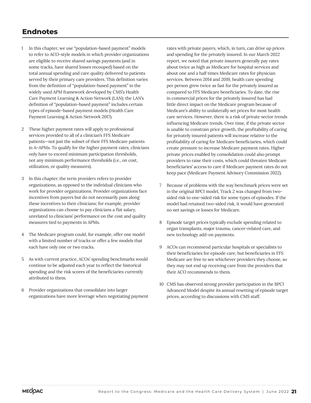## **Endnotes**

- 1 In this chapter, we use "population-based payment" models to refer to ACO-style models in which provider organizations are eligible to receive shared savings payments (and in some tracks, have shared losses recouped) based on the total annual spending and care quality delivered to patients served by their primary care providers. This definition varies from the definition of "population-based payment" in the widely used APM framework developed by CMS's Health Care Payment Learning & Action Network (LAN); the LAN's definition of "population-based payment" includes certain types of episode-based payment models (Health Care Payment Learning & Action Network 2017).
- 2 These higher payment rates will apply to professional services provided to all of a clinician's FFS Medicare patients—not just the subset of their FFS Medicare patients in A–APMs. To qualify for the higher payment rates, clinicians only have to exceed minimum participation thresholds, not any minimum performance thresholds (i.e., on cost, utilization, or quality measures).
- 3 In this chapter, the term *providers* refers to provider organizations, as opposed to the individual clinicians who work for provider organizations. Provider organizations face incentives from payers but do not necessarily pass along these incentives to their clinicians; for example, provider organizations can choose to pay clinicians a flat salary, unrelated to clinicians' performance on the cost and quality measures tied to payments in APMs.
- 4 The Medicare program could, for example, offer one model with a limited number of tracks or offer a few models that each have only one or two tracks.
- 5 As with current practice, ACOs' spending benchmarks would continue to be adjusted each year to reflect the historical spending and the risk scores of the beneficiaries currently attributed to them.
- 6 Provider organizations that consolidate into larger organizations have more leverage when negotiating payment

rates with private payers, which, in turn, can drive up prices and spending for the privately insured. In our March 2022 report, we noted that private insurers generally pay rates about twice as high as Medicare for hospital services and about one and a half times Medicare rates for physician services. Between 2014 and 2019, health care spending per person grew twice as fast for the privately insured as compared to FFS Medicare beneficiaries. To date, the rise in commercial prices for the privately insured has had little direct impact on the Medicare program because of Medicare's ability to unilaterally set prices for most health care services. However, there is a risk of private sector trends influencing Medicare trends. Over time, if the private sector is unable to constrain price growth, the profitability of caring for privately insured patients will increase relative to the profitability of caring for Medicare beneficiaries, which could create pressure to increase Medicare payment rates. Higher private prices enabled by consolidation could also prompt providers to raise their costs, which could threaten Medicare beneficiaries' access to care if Medicare payment rates do not keep pace (Medicare Payment Advisory Commission 2022).

- 7 Because of problems with the way benchmark prices were set in the original BPCI model, Track 2 was changed from twosided risk to one-sided risk for some types of episodes. If the model had retained two-sided risk, it would have generated no net savings or losses for Medicare.
- 8 Episode target prices typically exclude spending related to organ transplants, major trauma, cancer-related care, and new technology add-on payments.
- 9 ACOs can recommend particular hospitals or specialists to their beneficiaries for episode care, but beneficiaries in FFS Medicare are free to see whichever providers they choose, so they may not end up receiving care from the providers that their ACO recommends to them.
- 10 CMS has observed strong provider participation in the BPCI Advanced Model despite its annual resetting of episode target prices, according to discussions with CMS staff.